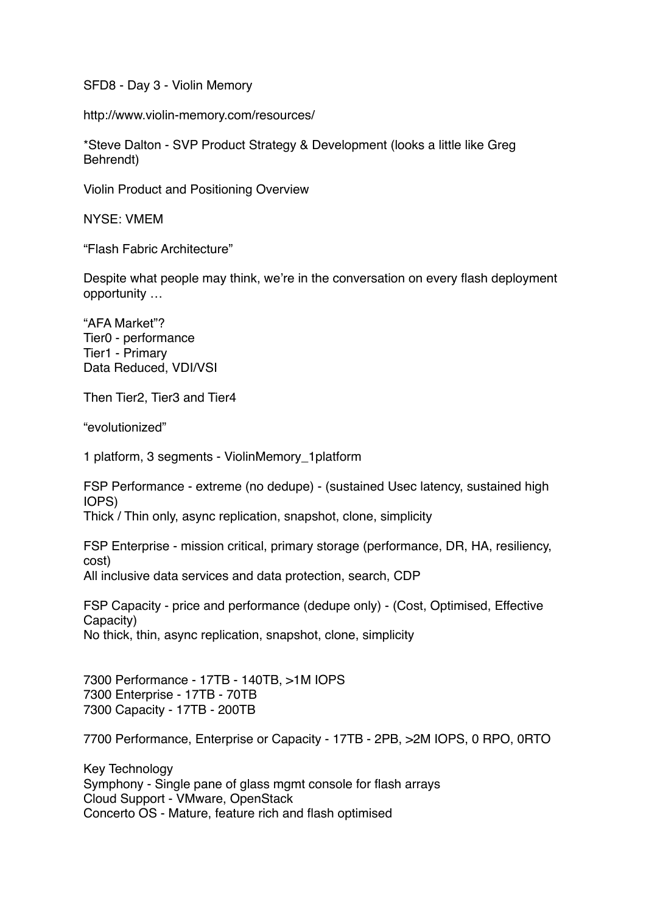SFD8 - Day 3 - Violin Memory

http://www.violin-memory.com/resources/

\*Steve Dalton - SVP Product Strategy & Development (looks a little like Greg Behrendt)

Violin Product and Positioning Overview

NYSE: VMEM

"Flash Fabric Architecture"

Despite what people may think, we're in the conversation on every flash deployment opportunity …

"AFA Market"? Tier0 - performance Tier1 - Primary Data Reduced, VDI/VSI

Then Tier2, Tier3 and Tier4

"evolutionized"

1 platform, 3 segments - ViolinMemory\_1platform

FSP Performance - extreme (no dedupe) - (sustained Usec latency, sustained high IOPS)

Thick / Thin only, async replication, snapshot, clone, simplicity

FSP Enterprise - mission critical, primary storage (performance, DR, HA, resiliency, cost) All inclusive data services and data protection, search, CDP

FSP Capacity - price and performance (dedupe only) - (Cost, Optimised, Effective Capacity) No thick, thin, async replication, snapshot, clone, simplicity

7300 Performance - 17TB - 140TB, >1M IOPS 7300 Enterprise - 17TB - 70TB 7300 Capacity - 17TB - 200TB

7700 Performance, Enterprise or Capacity - 17TB - 2PB, >2M IOPS, 0 RPO, 0RTO

Key Technology Symphony - Single pane of glass mgmt console for flash arrays Cloud Support - VMware, OpenStack Concerto OS - Mature, feature rich and flash optimised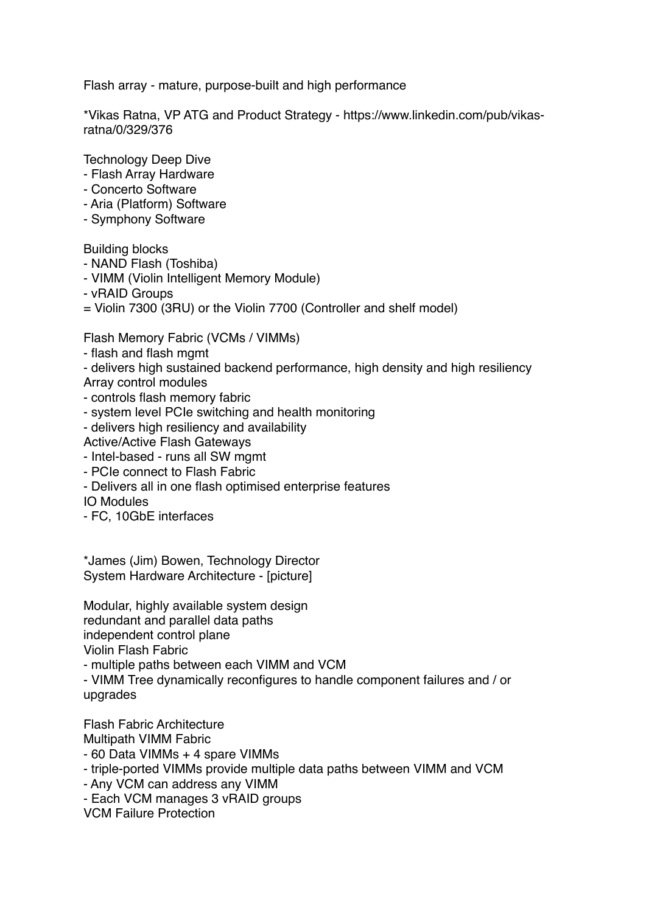Flash array - mature, purpose-built and high performance

\*Vikas Ratna, VP ATG and Product Strategy - [https://www.linkedin.com/pub/vikas](https://www.linkedin.com/pub/vikas-ratna/0/329/376)[ratna/0/329/376](https://www.linkedin.com/pub/vikas-ratna/0/329/376)

Technology Deep Dive

- Flash Array Hardware
- Concerto Software
- Aria (Platform) Software
- Symphony Software

Building blocks

- NAND Flash (Toshiba)
- VIMM (Violin Intelligent Memory Module)
- vRAID Groups

= Violin 7300 (3RU) or the Violin 7700 (Controller and shelf model)

Flash Memory Fabric (VCMs / VIMMs)

- flash and flash mgmt
- delivers high sustained backend performance, high density and high resiliency
- Array control modules
- controls flash memory fabric
- system level PCIe switching and health monitoring
- delivers high resiliency and availability
- Active/Active Flash Gateways
- Intel-based runs all SW mgmt
- PCIe connect to Flash Fabric
- Delivers all in one flash optimised enterprise features

IO Modules

- FC, 10GbE interfaces

\*James (Jim) Bowen, Technology Director System Hardware Architecture - [picture]

Modular, highly available system design redundant and parallel data paths

independent control plane

Violin Flash Fabric

- multiple paths between each VIMM and VCM

- VIMM Tree dynamically reconfigures to handle component failures and / or upgrades

Flash Fabric Architecture Multipath VIMM Fabric

- 60 Data VIMMs + 4 spare VIMMs

- triple-ported VIMMs provide multiple data paths between VIMM and VCM
- Any VCM can address any VIMM
- Each VCM manages 3 vRAID groups
- VCM Failure Protection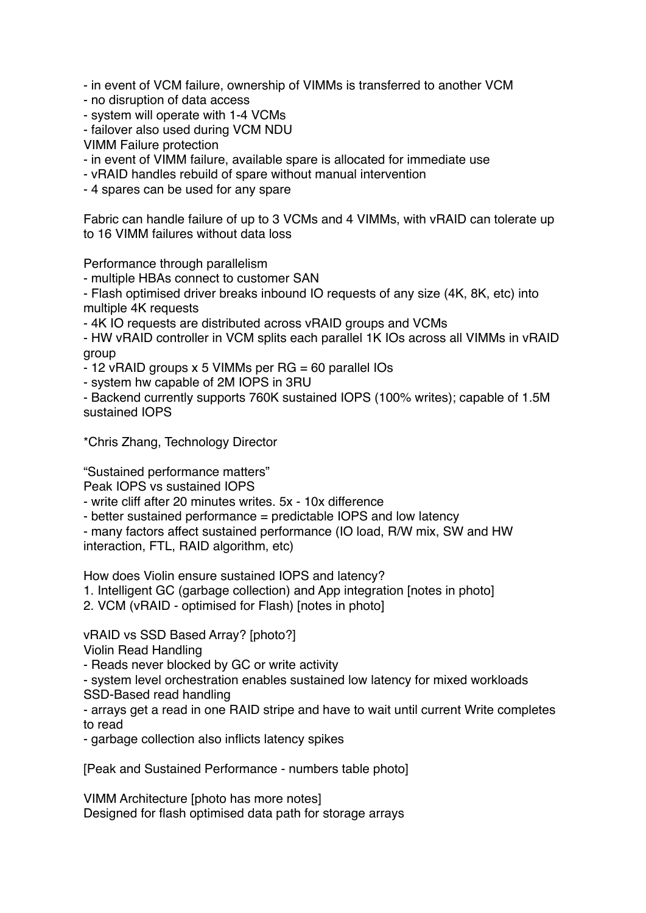- in event of VCM failure, ownership of VIMMs is transferred to another VCM

- no disruption of data access
- system will operate with 1-4 VCMs
- failover also used during VCM NDU

VIMM Failure protection

- in event of VIMM failure, available spare is allocated for immediate use

- vRAID handles rebuild of spare without manual intervention

- 4 spares can be used for any spare

Fabric can handle failure of up to 3 VCMs and 4 VIMMs, with vRAID can tolerate up to 16 VIMM failures without data loss

Performance through parallelism

- multiple HBAs connect to customer SAN

- Flash optimised driver breaks inbound IO requests of any size (4K, 8K, etc) into multiple 4K requests

- 4K IO requests are distributed across vRAID groups and VCMs

- HW vRAID controller in VCM splits each parallel 1K IOs across all VIMMs in vRAID group

- 12 vRAID groups x 5 VIMMs per RG = 60 parallel IOs

- system hw capable of 2M IOPS in 3RU

- Backend currently supports 760K sustained IOPS (100% writes); capable of 1.5M sustained IOPS

\*Chris Zhang, Technology Director

"Sustained performance matters"

Peak IOPS vs sustained IOPS

- write cliff after 20 minutes writes. 5x - 10x difference

- better sustained performance = predictable IOPS and low latency

- many factors affect sustained performance (IO load, R/W mix, SW and HW interaction, FTL, RAID algorithm, etc)

How does Violin ensure sustained IOPS and latency?

1. Intelligent GC (garbage collection) and App integration [notes in photo]

2. VCM (vRAID - optimised for Flash) [notes in photo]

vRAID vs SSD Based Array? [photo?]

Violin Read Handling

- Reads never blocked by GC or write activity

- system level orchestration enables sustained low latency for mixed workloads SSD-Based read handling

- arrays get a read in one RAID stripe and have to wait until current Write completes to read

- garbage collection also inflicts latency spikes

[Peak and Sustained Performance - numbers table photo]

VIMM Architecture [photo has more notes] Designed for flash optimised data path for storage arrays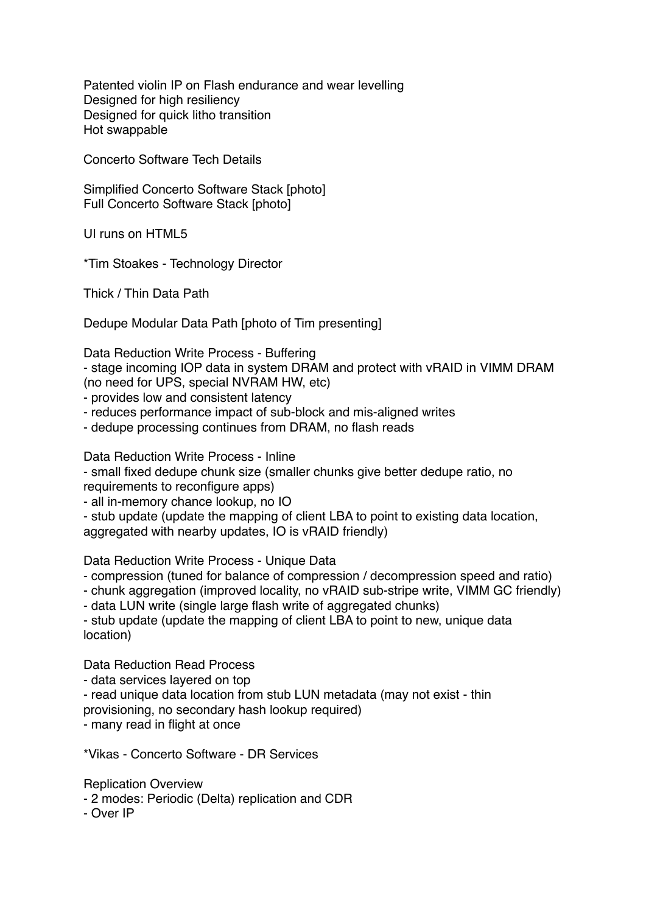Patented violin IP on Flash endurance and wear levelling Designed for high resiliency Designed for quick litho transition Hot swappable

Concerto Software Tech Details

Simplified Concerto Software Stack [photo] Full Concerto Software Stack [photo]

UI runs on HTML5

\*Tim Stoakes - Technology Director

Thick / Thin Data Path

Dedupe Modular Data Path [photo of Tim presenting]

Data Reduction Write Process - Buffering

- stage incoming IOP data in system DRAM and protect with vRAID in VIMM DRAM (no need for UPS, special NVRAM HW, etc)

- provides low and consistent latency

- reduces performance impact of sub-block and mis-aligned writes

- dedupe processing continues from DRAM, no flash reads

Data Reduction Write Process - Inline

- small fixed dedupe chunk size (smaller chunks give better dedupe ratio, no requirements to reconfigure apps)

- all in-memory chance lookup, no IO

- stub update (update the mapping of client LBA to point to existing data location, aggregated with nearby updates, IO is vRAID friendly)

Data Reduction Write Process - Unique Data

- compression (tuned for balance of compression / decompression speed and ratio)

- chunk aggregation (improved locality, no vRAID sub-stripe write, VIMM GC friendly)

- data LUN write (single large flash write of aggregated chunks)

- stub update (update the mapping of client LBA to point to new, unique data location)

Data Reduction Read Process

- data services layered on top

- read unique data location from stub LUN metadata (may not exist - thin provisioning, no secondary hash lookup required)

- many read in flight at once

\*Vikas - Concerto Software - DR Services

Replication Overview

- 2 modes: Periodic (Delta) replication and CDR

- Over IP